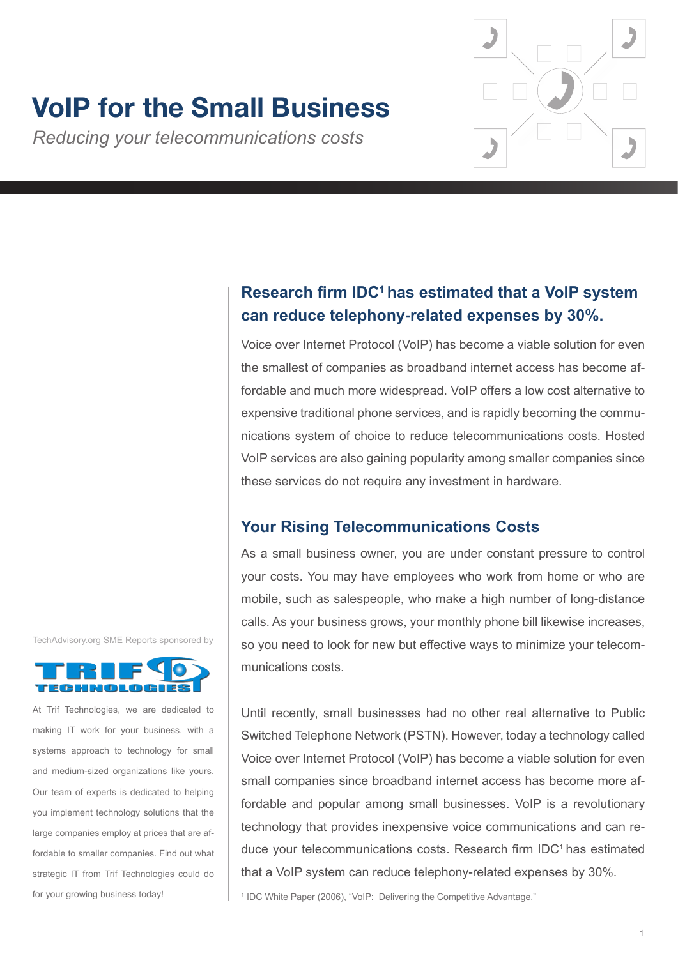# **VoIP for the Small Business**

*Reducing your telecommunications costs*



# **Research firm IDC<sup>1</sup>has estimated that a VoIP system can reduce telephony-related expenses by 30%.**

Voice over Internet Protocol (VoIP) has become a viable solution for even the smallest of companies as broadband internet access has become affordable and much more widespread. VoIP offers a low cost alternative to expensive traditional phone services, and is rapidly becoming the communications system of choice to reduce telecommunications costs. Hosted VoIP services are also gaining popularity among smaller companies since these services do not require any investment in hardware.

## **Your Rising Telecommunications Costs**

As a small business owner, you are under constant pressure to control your costs. You may have employees who work from home or who are mobile, such as salespeople, who make a high number of long-distance calls. As your business grows, your monthly phone bill likewise increases, so you need to look for new but effective ways to minimize your telecommunications costs.

Until recently, small businesses had no other real alternative to Public Switched Telephone Network (PSTN). However, today a technology called Voice over Internet Protocol (VoIP) has become a viable solution for even small companies since broadband internet access has become more affordable and popular among small businesses. VoIP is a revolutionary technology that provides inexpensive voice communications and can reduce your telecommunications costs. Research firm IDC<sup>1</sup> has estimated that a VoIP system can reduce telephony-related expenses by 30%.

<sup>1</sup> IDC White Paper (2006), "VoIP: Delivering the Competitive Advantage,"





At Trif Technologies, we are dedicated to making IT work for your business, with a systems approach to technology for small and medium-sized organizations like yours. Our team of experts is dedicated to helping you implement technology solutions that the large companies employ at prices that are affordable to smaller companies. Find out what strategic IT from Trif Technologies could do for your growing business today!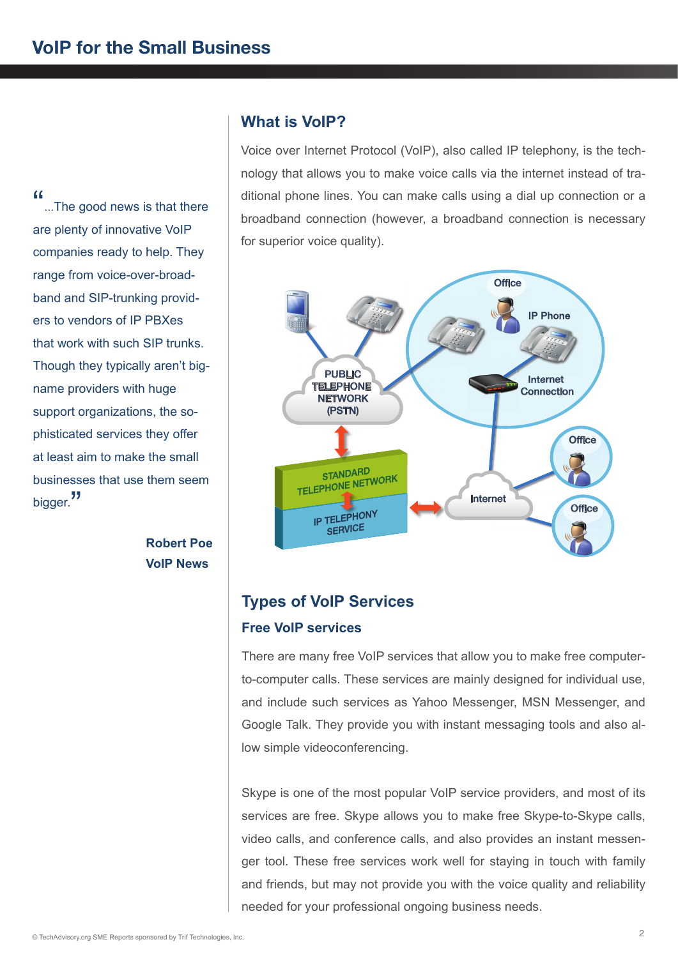"...The good news is that there are plenty of innovative VoIP companies ready to help. They range from voice-over-broadband and SIP-trunking providers to vendors of IP PBXes that work with such SIP trunks. Though they typically aren't bigname providers with huge support organizations, the sophisticated services they offer at least aim to make the small businesses that use them seem bigger."

> **Robert Poe VoIP News**

## **What is VoIP?**

Voice over Internet Protocol (VoIP), also called IP telephony, is the technology that allows you to make voice calls via the internet instead of traditional phone lines. You can make calls using a dial up connection or a broadband connection (however, a broadband connection is necessary for superior voice quality).



# **Types of VoIP Services Free VoIP services**

There are many free VoIP services that allow you to make free computerto-computer calls. These services are mainly designed for individual use, and include such services as Yahoo Messenger, MSN Messenger, and Google Talk. They provide you with instant messaging tools and also allow simple videoconferencing.

Skype is one of the most popular VoIP service providers, and most of its services are free. Skype allows you to make free Skype-to-Skype calls, video calls, and conference calls, and also provides an instant messenger tool. These free services work well for staying in touch with family and friends, but may not provide you with the voice quality and reliability needed for your professional ongoing business needs.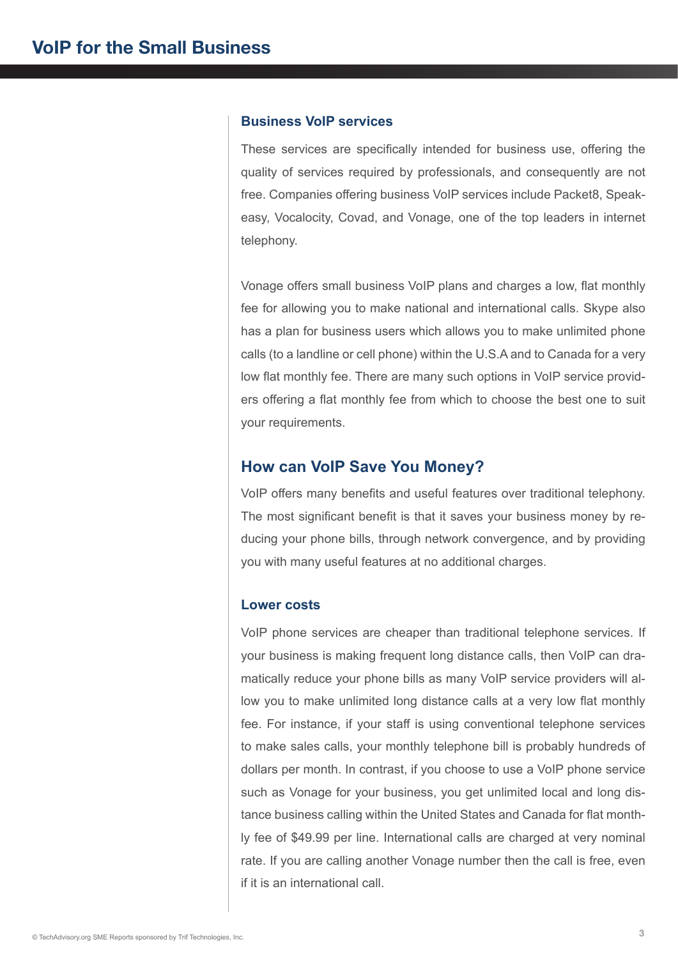#### **Business VoIP services**

These services are specifically intended for business use, offering the quality of services required by professionals, and consequently are not free. Companies offering business VoIP services include Packet8, Speakeasy, Vocalocity, Covad, and Vonage, one of the top leaders in internet telephony.

Vonage offers small business VoIP plans and charges a low, flat monthly fee for allowing you to make national and international calls. Skype also has a plan for business users which allows you to make unlimited phone calls (to a landline or cell phone) within the U.S.A and to Canada for a very low flat monthly fee. There are many such options in VoIP service providers offering a flat monthly fee from which to choose the best one to suit your requirements.

#### **How can VoIP Save You Money?**

VoIP offers many benefits and useful features over traditional telephony. The most significant benefit is that it saves your business money by reducing your phone bills, through network convergence, and by providing you with many useful features at no additional charges.

#### **Lower costs**

VoIP phone services are cheaper than traditional telephone services. If your business is making frequent long distance calls, then VoIP can dramatically reduce your phone bills as many VoIP service providers will allow you to make unlimited long distance calls at a very low flat monthly fee. For instance, if your staff is using conventional telephone services to make sales calls, your monthly telephone bill is probably hundreds of dollars per month. In contrast, if you choose to use a VoIP phone service such as Vonage for your business, you get unlimited local and long distance business calling within the United States and Canada for flat monthly fee of \$49.99 per line. International calls are charged at very nominal rate. If you are calling another Vonage number then the call is free, even if it is an international call.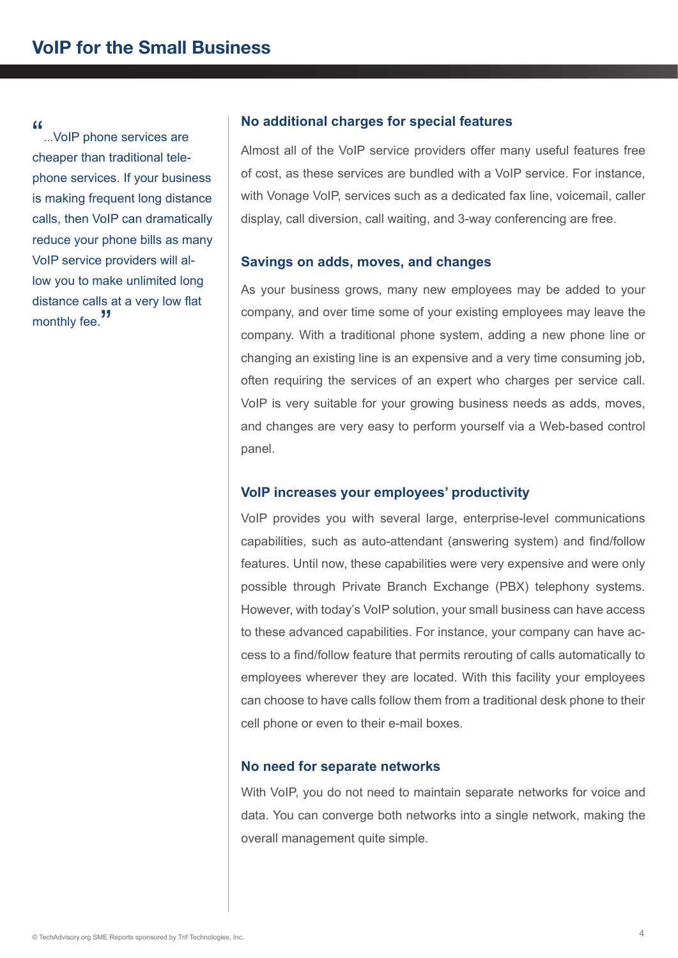"...VoIP phone services are cheaper than traditional telephone services. If your business is making frequent long distance calls, then VoIP can dramatically reduce your phone bills as many VoIP service providers will allow you to make unlimited long distance calls at a very low flat monthly fee.<sup>"</sup>

#### **No additional charges for special features**

Almost all of the VoIP service providers offer many useful features free of cost, as these services are bundled with a VoIP service. For instance, with Vonage VoIP, services such as a dedicated fax line, voicemail, caller display, call diversion, call waiting, and 3-way conferencing are free.

#### **Savings on adds, moves, and changes**

As your business grows, many new employees may be added to your company, and over time some of your existing employees may leave the company. With a traditional phone system, adding a new phone line or changing an existing line is an expensive and a very time consuming job, often requiring the services of an expert who charges per service call. VoIP is very suitable for your growing business needs as adds, moves, and changes are very easy to perform yourself via a Web-based control panel.

#### **VoIP increases your employees' productivity**

VoIP provides you with several large, enterprise-level communications capabilities, such as auto-attendant (answering system) and find/follow features. Until now, these capabilities were very expensive and were only possible through Private Branch Exchange (PBX) telephony systems. However, with today's VoIP solution, your small business can have access to these advanced capabilities. For instance, your company can have access to a find/follow feature that permits rerouting of calls automatically to employees wherever they are located. With this facility your employees can choose to have calls follow them from a traditional desk phone to their cell phone or even to their e-mail boxes.

#### **No need for separate networks**

With VoIP, you do not need to maintain separate networks for voice and data. You can converge both networks into a single network, making the overall management quite simple.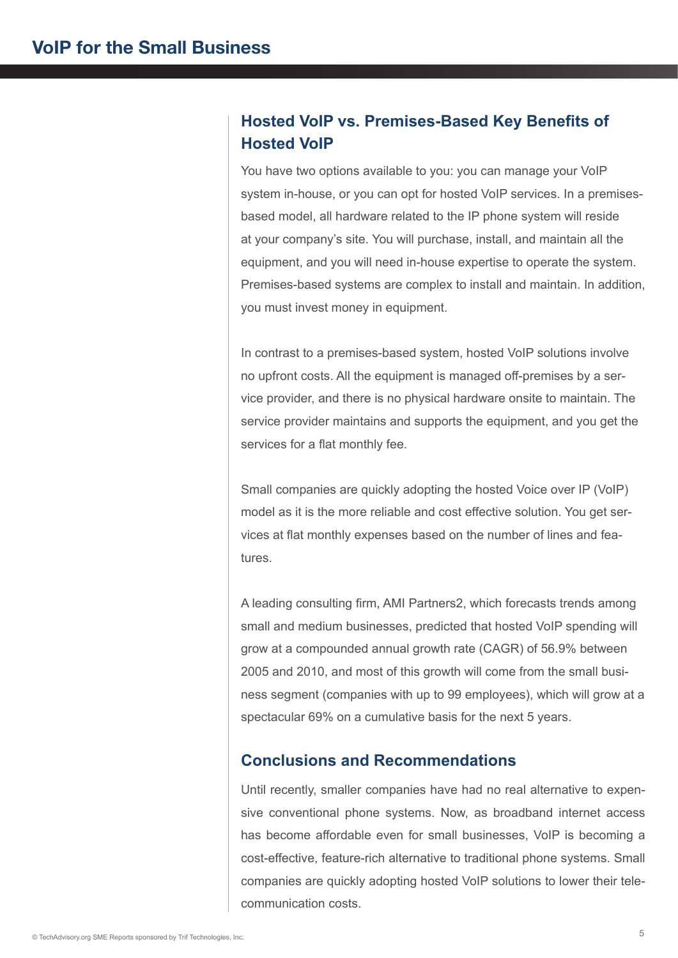# **Hosted VoIP vs. Premises-Based Key Benefits of Hosted VoIP**

You have two options available to you: you can manage your VoIP system in-house, or you can opt for hosted VoIP services. In a premisesbased model, all hardware related to the IP phone system will reside at your company's site. You will purchase, install, and maintain all the equipment, and you will need in-house expertise to operate the system. Premises-based systems are complex to install and maintain. In addition, you must invest money in equipment.

In contrast to a premises-based system, hosted VoIP solutions involve no upfront costs. All the equipment is managed off-premises by a service provider, and there is no physical hardware onsite to maintain. The service provider maintains and supports the equipment, and you get the services for a flat monthly fee.

Small companies are quickly adopting the hosted Voice over IP (VoIP) model as it is the more reliable and cost effective solution. You get services at flat monthly expenses based on the number of lines and features.

A leading consulting firm, AMI Partners2, which forecasts trends among small and medium businesses, predicted that hosted VoIP spending will grow at a compounded annual growth rate (CAGR) of 56.9% between 2005 and 2010, and most of this growth will come from the small business segment (companies with up to 99 employees), which will grow at a spectacular 69% on a cumulative basis for the next 5 years.

## **Conclusions and Recommendations**

Until recently, smaller companies have had no real alternative to expensive conventional phone systems. Now, as broadband internet access has become affordable even for small businesses, VoIP is becoming a cost-effective, feature-rich alternative to traditional phone systems. Small companies are quickly adopting hosted VoIP solutions to lower their telecommunication costs.